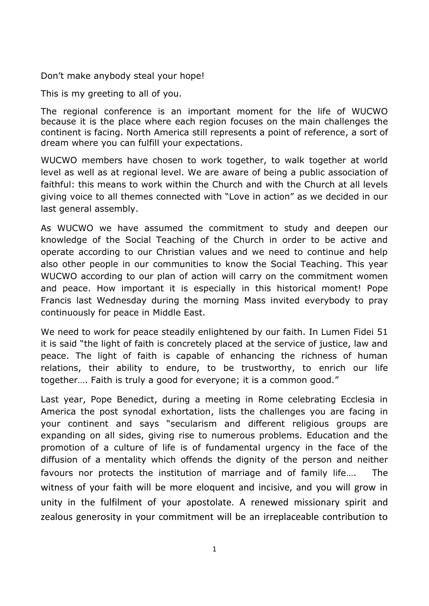Don't make anybody steal your hope!

This is my greeting to all of you.

The regional conference is an important moment for the life of WUCWO because it is the place where each region focuses on the main challenges the continent is facing. North America still represents a point of reference, a sort of dream where you can fulfill your expectations.

WUCWO members have chosen to work together, to walk together at world level as well as at regional level. We are aware of being a public association of faithful: this means to work within the Church and with the Church at all levels giving voice to all themes connected with "Love in action" as we decided in our last general assembly.

As WUCWO we have assumed the commitment to study and deepen our knowledge of the Social Teaching of the Church in order to be active and operate according to our Christian values and we need to continue and help also other people in our communities to know the Social Teaching. This year WUCWO according to our plan of action will carry on the commitment women and peace. How important it is especially in this historical moment! Pope Francis last Wednesday during the morning Mass invited everybody to pray continuously for peace in Middle East.

We need to work for peace steadily enlightened by our faith. In Lumen Fidei 51 it is said "the light of faith is concretely placed at the service of justice, law and peace. The light of faith is capable of enhancing the richness of human relations, their ability to endure, to be trustworthy, to enrich our life together…. Faith is truly a good for everyone; it is a common good."

Last year, Pope Benedict, during a meeting in Rome celebrating Ecclesia in America the post synodal exhortation, lists the challenges you are facing in your continent and says "secularism and different religious groups are expanding on all sides, giving rise to numerous problems. Education and the promotion of a culture of life is of fundamental urgency in the face of the diffusion of a mentality which offends the dignity of the person and neither favours nor protects the institution of marriage and of family life…. The witness of your faith will be more eloquent and incisive, and you will grow in unity in the fulfilment of your apostolate. A renewed missionary spirit and zealous generosity in your commitment will be an irreplaceable contribution to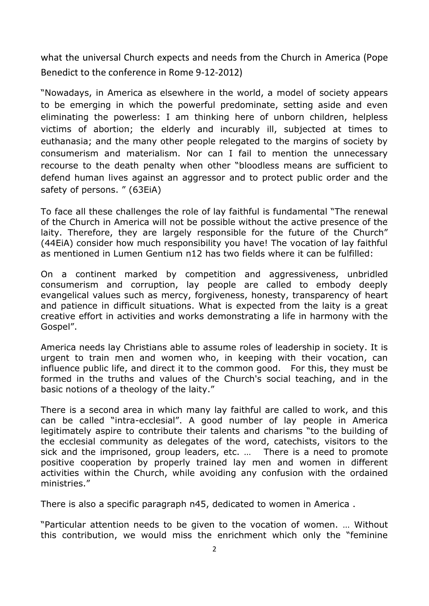what the universal Church expects and needs from the Church in America (Pope Benedict to the conference in Rome 9-12-2012)

"Nowadays, in America as elsewhere in the world, a model of society appears to be emerging in which the powerful predominate, setting aside and even eliminating the powerless: I am thinking here of unborn children, helpless victims of abortion; the elderly and incurably ill, subjected at times to euthanasia; and the many other people relegated to the margins of society by consumerism and materialism. Nor can I fail to mention the unnecessary recourse to the death penalty when other "bloodless means are sufficient to defend human lives against an aggressor and to protect public order and the safety of persons. " (63EiA)

To face all these challenges the role of lay faithful is fundamental "The renewal of the Church in America will not be possible without the active presence of the laity. Therefore, they are largely responsible for the future of the Church" (44EiA) consider how much responsibility you have! The vocation of lay faithful as mentioned in Lumen Gentium n12 has two fields where it can be fulfilled:

On a continent marked by competition and aggressiveness, unbridled consumerism and corruption, lay people are called to embody deeply evangelical values such as mercy, forgiveness, honesty, transparency of heart and patience in difficult situations. What is expected from the laity is a great creative effort in activities and works demonstrating a life in harmony with the Gospel".

America needs lay Christians able to assume roles of leadership in society. It is urgent to train men and women who, in keeping with their vocation, can influence public life, and direct it to the common good. For this, they must be formed in the truths and values of the Church's social teaching, and in the basic notions of a theology of the laity."

There is a second area in which many lay faithful are called to work, and this can be called "intra-ecclesial". A good number of lay people in America legitimately aspire to contribute their talents and charisms "to the building of the ecclesial community as delegates of the word, catechists, visitors to the sick and the imprisoned, group leaders, etc. … There is a need to promote positive cooperation by properly trained lay men and women in different activities within the Church, while avoiding any confusion with the ordained ministries."

There is also a specific paragraph n45, dedicated to women in America .

"Particular attention needs to be given to the vocation of women. … Without this contribution, we would miss the enrichment which only the "feminine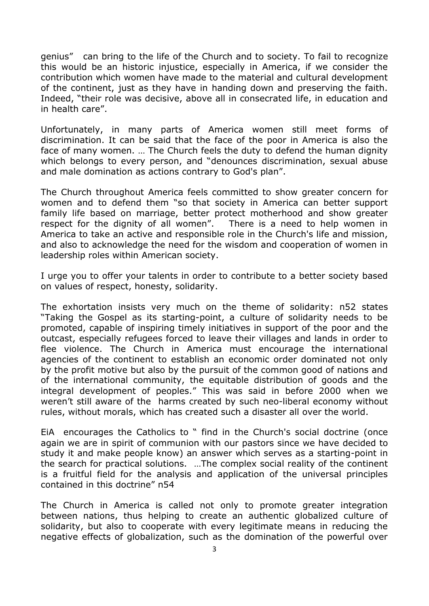genius" can bring to the life of the Church and to society. To fail to recognize this would be an historic injustice, especially in America, if we consider the contribution which women have made to the material and cultural development of the continent, just as they have in handing down and preserving the faith. Indeed, "their role was decisive, above all in consecrated life, in education and in health care".

Unfortunately, in many parts of America women still meet forms of discrimination. It can be said that the face of the poor in America is also the face of many women. … The Church feels the duty to defend the human dignity which belongs to every person, and "denounces discrimination, sexual abuse and male domination as actions contrary to God's plan".

The Church throughout America feels committed to show greater concern for women and to defend them "so that society in America can better support family life based on marriage, better protect motherhood and show greater respect for the dignity of all women". There is a need to help women in America to take an active and responsible role in the Church's life and mission, and also to acknowledge the need for the wisdom and cooperation of women in leadership roles within American society.

I urge you to offer your talents in order to contribute to a better society based on values of respect, honesty, solidarity.

The exhortation insists very much on the theme of solidarity: n52 states "Taking the Gospel as its starting-point, a culture of solidarity needs to be promoted, capable of inspiring timely initiatives in support of the poor and the outcast, especially refugees forced to leave their villages and lands in order to flee violence. The Church in America must encourage the international agencies of the continent to establish an economic order dominated not only by the profit motive but also by the pursuit of the common good of nations and of the international community, the equitable distribution of goods and the integral development of peoples." This was said in before 2000 when we weren't still aware of the harms created by such neo-liberal economy without rules, without morals, which has created such a disaster all over the world.

EiA encourages the Catholics to " find in the Church's social doctrine (once again we are in spirit of communion with our pastors since we have decided to study it and make people know) an answer which serves as a starting-point in the search for practical solutions. …The complex social reality of the continent is a fruitful field for the analysis and application of the universal principles contained in this doctrine" n54

The Church in America is called not only to promote greater integration between nations, thus helping to create an authentic globalized culture of solidarity, but also to cooperate with every legitimate means in reducing the negative effects of globalization, such as the domination of the powerful over